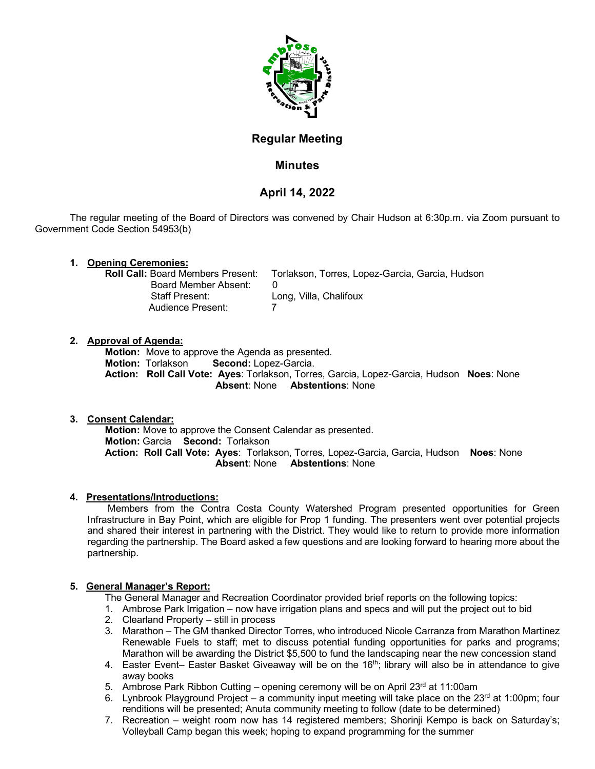

# **Regular Meeting**

# **Minutes**

# **April 14, 2022**

The regular meeting of the Board of Directors was convened by Chair Hudson at 6:30p.m. via Zoom pursuant to Government Code Section 54953(b)

**1. Opening Ceremonies:**

| Roll Call: Board Members Present: | Torlakson, Torres, Lopez-Garcia, Garcia, Hudson |
|-----------------------------------|-------------------------------------------------|
| Board Member Absent:              |                                                 |
| <b>Staff Present:</b>             | Long, Villa, Chalifoux                          |
| Audience Present:                 |                                                 |

## **2. Approval of Agenda:**

**Motion:** Move to approve the Agenda as presented.<br>**Motion:** Torlakson **Second:** Lopez-Garcia. Second: Lopez-Garcia. **Action: Roll Call Vote: Ayes**: Torlakson, Torres, Garcia, Lopez-Garcia, Hudson **Noes**: None  **Absent**: None **Abstentions**: None

## **3. Consent Calendar:**

**Motion:** Move to approve the Consent Calendar as presented. **Motion:** Garcia **Second:** Torlakson **Action: Roll Call Vote: Ayes**: Torlakson, Torres, Lopez-Garcia, Garcia, Hudson **Noes**: None  **Absent**: None **Abstentions**: None

## **4. Presentations/Introductions:**

 Members from the Contra Costa County Watershed Program presented opportunities for Green Infrastructure in Bay Point, which are eligible for Prop 1 funding. The presenters went over potential projects and shared their interest in partnering with the District. They would like to return to provide more information regarding the partnership. The Board asked a few questions and are looking forward to hearing more about the partnership.

## **5. General Manager's Report:**

The General Manager and Recreation Coordinator provided brief reports on the following topics:

- 1. Ambrose Park Irrigation now have irrigation plans and specs and will put the project out to bid
- 2. Clearland Property still in process
- 3. Marathon The GM thanked Director Torres, who introduced Nicole Carranza from Marathon Martinez Renewable Fuels to staff; met to discuss potential funding opportunities for parks and programs; Marathon will be awarding the District \$5,500 to fund the landscaping near the new concession stand
- 4. Easter Event– Easter Basket Giveaway will be on the 16<sup>th</sup>; library will also be in attendance to give away books
- 5. Ambrose Park Ribbon Cutting opening ceremony will be on April 23rd at 11:00am
- 6. Lynbrook Playground Project a community input meeting will take place on the 23<sup>rd</sup> at 1:00pm; four renditions will be presented; Anuta community meeting to follow (date to be determined)
- 7. Recreation weight room now has 14 registered members; Shorinji Kempo is back on Saturday's; Volleyball Camp began this week; hoping to expand programming for the summer